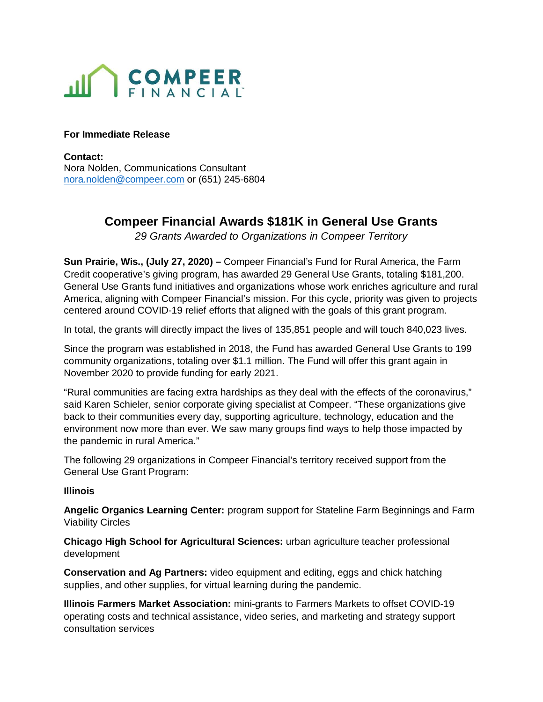

### **For Immediate Release**

**Contact:**  Nora Nolden, Communications Consultant nora.nolden@compeer.com or (651) 245-6804

# **Compeer Financial Awards \$181K in General Use Grants**

29 Grants Awarded to Organizations in Compeer Territory

**Sun Prairie, Wis., (July 27, 2020) –** Compeer Financial's Fund for Rural America, the Farm Credit cooperative's giving program, has awarded 29 General Use Grants, totaling \$181,200. General Use Grants fund initiatives and organizations whose work enriches agriculture and rural America, aligning with Compeer Financial's mission. For this cycle, priority was given to projects centered around COVID-19 relief efforts that aligned with the goals of this grant program.

In total, the grants will directly impact the lives of 135,851 people and will touch 840,023 lives.

Since the program was established in 2018, the Fund has awarded General Use Grants to 199 community organizations, totaling over \$1.1 million. The Fund will offer this grant again in November 2020 to provide funding for early 2021.

"Rural communities are facing extra hardships as they deal with the effects of the coronavirus," said Karen Schieler, senior corporate giving specialist at Compeer. "These organizations give back to their communities every day, supporting agriculture, technology, education and the environment now more than ever. We saw many groups find ways to help those impacted by the pandemic in rural America."

The following 29 organizations in Compeer Financial's territory received support from the General Use Grant Program:

#### **Illinois**

**Angelic Organics Learning Center:** program support for Stateline Farm Beginnings and Farm Viability Circles

**Chicago High School for Agricultural Sciences:** urban agriculture teacher professional development

**Conservation and Ag Partners:** video equipment and editing, eggs and chick hatching supplies, and other supplies, for virtual learning during the pandemic.

**Illinois Farmers Market Association:** mini-grants to Farmers Markets to offset COVID-19 operating costs and technical assistance, video series, and marketing and strategy support consultation services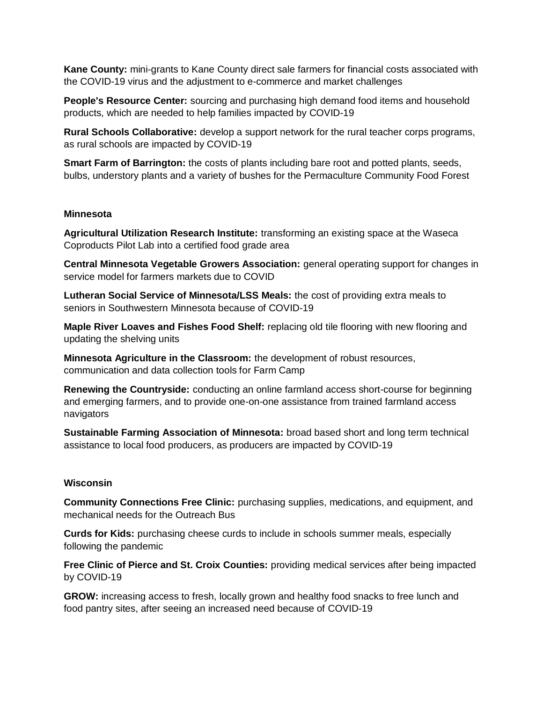**Kane County:** mini-grants to Kane County direct sale farmers for financial costs associated with the COVID-19 virus and the adjustment to e-commerce and market challenges

**People's Resource Center:** sourcing and purchasing high demand food items and household products, which are needed to help families impacted by COVID-19

**Rural Schools Collaborative:** develop a support network for the rural teacher corps programs, as rural schools are impacted by COVID-19

**Smart Farm of Barrington:** the costs of plants including bare root and potted plants, seeds, bulbs, understory plants and a variety of bushes for the Permaculture Community Food Forest

#### **Minnesota**

**Agricultural Utilization Research Institute:** transforming an existing space at the Waseca Coproducts Pilot Lab into a certified food grade area

**Central Minnesota Vegetable Growers Association:** general operating support for changes in service model for farmers markets due to COVID

**Lutheran Social Service of Minnesota/LSS Meals:** the cost of providing extra meals to seniors in Southwestern Minnesota because of COVID-19

**Maple River Loaves and Fishes Food Shelf:** replacing old tile flooring with new flooring and updating the shelving units

**Minnesota Agriculture in the Classroom:** the development of robust resources, communication and data collection tools for Farm Camp

**Renewing the Countryside:** conducting an online farmland access short-course for beginning and emerging farmers, and to provide one-on-one assistance from trained farmland access navigators

**Sustainable Farming Association of Minnesota:** broad based short and long term technical assistance to local food producers, as producers are impacted by COVID-19

## **Wisconsin**

**Community Connections Free Clinic:** purchasing supplies, medications, and equipment, and mechanical needs for the Outreach Bus

**Curds for Kids:** purchasing cheese curds to include in schools summer meals, especially following the pandemic

**Free Clinic of Pierce and St. Croix Counties:** providing medical services after being impacted by COVID-19

**GROW:** increasing access to fresh, locally grown and healthy food snacks to free lunch and food pantry sites, after seeing an increased need because of COVID-19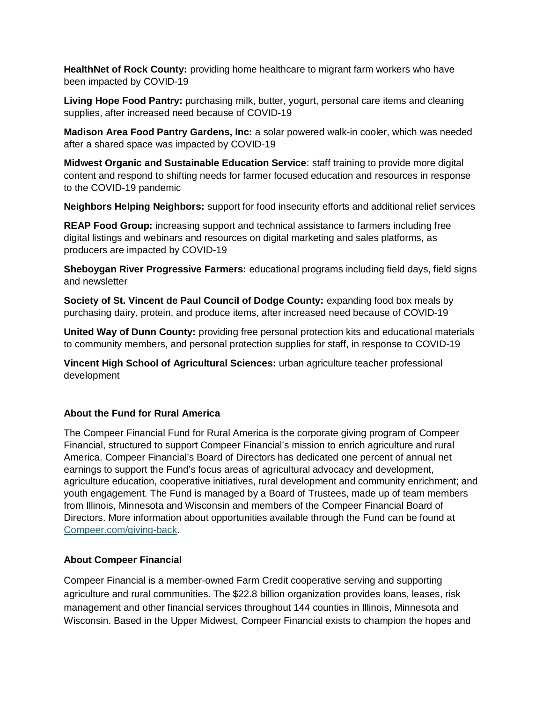**HealthNet of Rock County:** providing home healthcare to migrant farm workers who have been impacted by COVID-19

**Living Hope Food Pantry:** purchasing milk, butter, yogurt, personal care items and cleaning supplies, after increased need because of COVID-19

**Madison Area Food Pantry Gardens, Inc:** a solar powered walk-in cooler, which was needed after a shared space was impacted by COVID-19

**Midwest Organic and Sustainable Education Service**: staff training to provide more digital content and respond to shifting needs for farmer focused education and resources in response to the COVID-19 pandemic

**Neighbors Helping Neighbors:** support for food insecurity efforts and additional relief services

**REAP Food Group:** increasing support and technical assistance to farmers including free digital listings and webinars and resources on digital marketing and sales platforms, as producers are impacted by COVID-19

**Sheboygan River Progressive Farmers:** educational programs including field days, field signs and newsletter

**Society of St. Vincent de Paul Council of Dodge County:** expanding food box meals by purchasing dairy, protein, and produce items, after increased need because of COVID-19

**United Way of Dunn County:** providing free personal protection kits and educational materials to community members, and personal protection supplies for staff, in response to COVID-19

**Vincent High School of Agricultural Sciences:** urban agriculture teacher professional development

# **About the Fund for Rural America**

The Compeer Financial Fund for Rural America is the corporate giving program of Compeer Financial, structured to support Compeer Financial's mission to enrich agriculture and rural America. Compeer Financial's Board of Directors has dedicated one percent of annual net earnings to support the Fund's focus areas of agricultural advocacy and development, agriculture education, cooperative initiatives, rural development and community enrichment; and youth engagement. The Fund is managed by a Board of Trustees, made up of team members from Illinois, Minnesota and Wisconsin and members of the Compeer Financial Board of Directors. More information about opportunities available through the Fund can be found at Compeer.com/giving-back.

# **About Compeer Financial**

Compeer Financial is a member-owned Farm Credit cooperative serving and supporting agriculture and rural communities. The \$22.8 billion organization provides loans, leases, risk management and other financial services throughout 144 counties in Illinois, Minnesota and Wisconsin. Based in the Upper Midwest, Compeer Financial exists to champion the hopes and